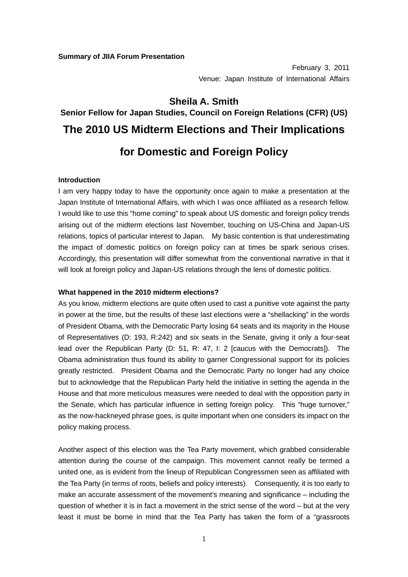February 3, 2011 Venue: Japan Institute of International Affairs

## **Sheila A. Smith**

# **Senior Fellow for Japan Studies, Council on Foreign Relations (CFR) (US) The 2010 US Midterm Elections and Their Implications for Domestic and Foreign Policy**

**Introduction** 

I am very happy today to have the opportunity once again to make a presentation at the Japan Institute of International Affairs, with which I was once affiliated as a research fellow. I would like to use this "home coming" to speak about US domestic and foreign policy trends arising out of the midterm elections last November, touching on US-China and Japan-US relations, topics of particular interest to Japan. My basic contention is that underestimating the impact of domestic politics on foreign policy can at times be spark serious crises. Accordingly, this presentation will differ somewhat from the conventional narrative in that it will look at foreign policy and Japan-US relations through the lens of domestic politics.

### **What happened in the 2010 midterm elections?**

As you know, midterm elections are quite often used to cast a punitive vote against the party in power at the time, but the results of these last elections were a "shellacking" in the words of President Obama, with the Democratic Party losing 64 seats and its majority in the House of Representatives (D: 193, R:242) and six seats in the Senate, giving it only a four-seat lead over the Republican Party (D: 51, R: 47, I: 2 [caucus with the Democrats]). The Obama administration thus found its ability to garner Congressional support for its policies greatly restricted. President Obama and the Democratic Party no longer had any choice but to acknowledge that the Republican Party held the initiative in setting the agenda in the House and that more meticulous measures were needed to deal with the opposition party in the Senate, which has particular influence in setting foreign policy. This "huge turnover," as the now-hackneyed phrase goes, is quite important when one considers its impact on the policy making process.

Another aspect of this election was the Tea Party movement, which grabbed considerable attention during the course of the campaign. This movement cannot really be termed a united one, as is evident from the lineup of Republican Congressmen seen as affiliated with the Tea Party (in terms of roots, beliefs and policy interests). Consequently, it is too early to make an accurate assessment of the movement's meaning and significance – including the question of whether it is in fact a movement in the strict sense of the word – but at the very least it must be borne in mind that the Tea Party has taken the form of a "grassroots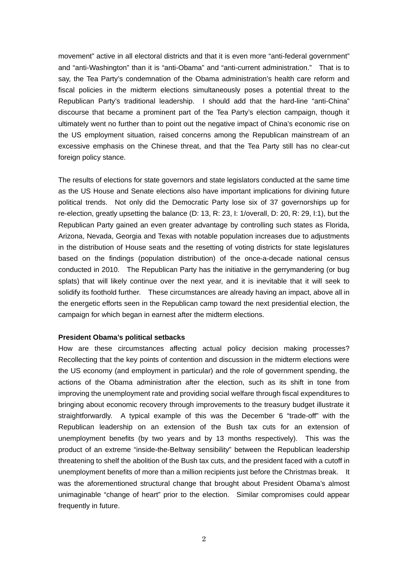movement" active in all electoral districts and that it is even more "anti-federal government" and "anti-Washington" than it is "anti-Obama" and "anti-current administration." That is to say, the Tea Party's condemnation of the Obama administration's health care reform and fiscal policies in the midterm elections simultaneously poses a potential threat to the Republican Party's traditional leadership. I should add that the hard-line "anti-China" discourse that became a prominent part of the Tea Party's election campaign, though it ultimately went no further than to point out the negative impact of China's economic rise on the US employment situation, raised concerns among the Republican mainstream of an excessive emphasis on the Chinese threat, and that the Tea Party still has no clear-cut foreign policy stance.

The results of elections for state governors and state legislators conducted at the same time as the US House and Senate elections also have important implications for divining future political trends. Not only did the Democratic Party lose six of 37 governorships up for re-election, greatly upsetting the balance (D: 13, R: 23, I: 1/overall, D: 20, R: 29, I:1), but the Republican Party gained an even greater advantage by controlling such states as Florida, Arizona, Nevada, Georgia and Texas with notable population increases due to adjustments in the distribution of House seats and the resetting of voting districts for state legislatures based on the findings (population distribution) of the once-a-decade national census conducted in 2010. The Republican Party has the initiative in the gerrymandering (or bug splats) that will likely continue over the next year, and it is inevitable that it will seek to solidify its foothold further. These circumstances are already having an impact, above all in the energetic efforts seen in the Republican camp toward the next presidential election, the campaign for which began in earnest after the midterm elections.

### **President Obama's political setbacks**

How are these circumstances affecting actual policy decision making processes? Recollecting that the key points of contention and discussion in the midterm elections were the US economy (and employment in particular) and the role of government spending, the actions of the Obama administration after the election, such as its shift in tone from improving the unemployment rate and providing social welfare through fiscal expenditures to bringing about economic recovery through improvements to the treasury budget illustrate it straightforwardly. A typical example of this was the December 6 "trade-off" with the Republican leadership on an extension of the Bush tax cuts for an extension of unemployment benefits (by two years and by 13 months respectively). This was the product of an extreme "inside-the-Beltway sensibility" between the Republican leadership threatening to shelf the abolition of the Bush tax cuts, and the president faced with a cutoff in unemployment benefits of more than a million recipients just before the Christmas break. It was the aforementioned structural change that brought about President Obama's almost unimaginable "change of heart" prior to the election. Similar compromises could appear frequently in future.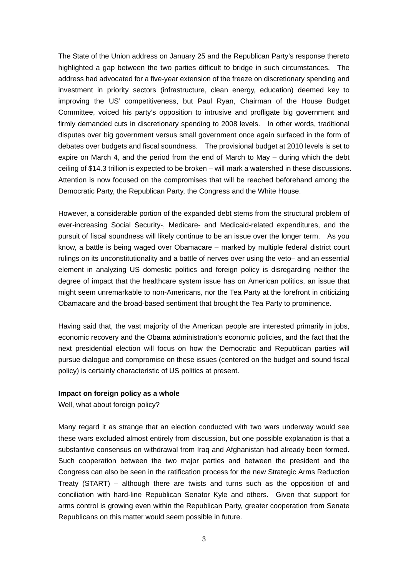The State of the Union address on January 25 and the Republican Party's response thereto highlighted a gap between the two parties difficult to bridge in such circumstances. The address had advocated for a five-year extension of the freeze on discretionary spending and investment in priority sectors (infrastructure, clean energy, education) deemed key to improving the US' competitiveness, but Paul Ryan, Chairman of the House Budget Committee, voiced his party's opposition to intrusive and profligate big government and firmly demanded cuts in discretionary spending to 2008 levels. In other words, traditional disputes over big government versus small government once again surfaced in the form of debates over budgets and fiscal soundness. The provisional budget at 2010 levels is set to expire on March 4, and the period from the end of March to May – during which the debt ceiling of \$14.3 trillion is expected to be broken – will mark a watershed in these discussions. Attention is now focused on the compromises that will be reached beforehand among the Democratic Party, the Republican Party, the Congress and the White House.

However, a considerable portion of the expanded debt stems from the structural problem of ever-increasing Social Security-, Medicare- and Medicaid-related expenditures, and the pursuit of fiscal soundness will likely continue to be an issue over the longer term. As you know, a battle is being waged over Obamacare – marked by multiple federal district court rulings on its unconstitutionality and a battle of nerves over using the veto– and an essential element in analyzing US domestic politics and foreign policy is disregarding neither the degree of impact that the healthcare system issue has on American politics, an issue that might seem unremarkable to non-Americans, nor the Tea Party at the forefront in criticizing Obamacare and the broad-based sentiment that brought the Tea Party to prominence.

Having said that, the vast majority of the American people are interested primarily in jobs, economic recovery and the Obama administration's economic policies, and the fact that the next presidential election will focus on how the Democratic and Republican parties will pursue dialogue and compromise on these issues (centered on the budget and sound fiscal policy) is certainly characteristic of US politics at present.

### **Impact on foreign policy as a whole**

Well, what about foreign policy?

Many regard it as strange that an election conducted with two wars underway would see these wars excluded almost entirely from discussion, but one possible explanation is that a substantive consensus on withdrawal from Iraq and Afghanistan had already been formed. Such cooperation between the two major parties and between the president and the Congress can also be seen in the ratification process for the new Strategic Arms Reduction Treaty (START) – although there are twists and turns such as the opposition of and conciliation with hard-line Republican Senator Kyle and others. Given that support for arms control is growing even within the Republican Party, greater cooperation from Senate Republicans on this matter would seem possible in future.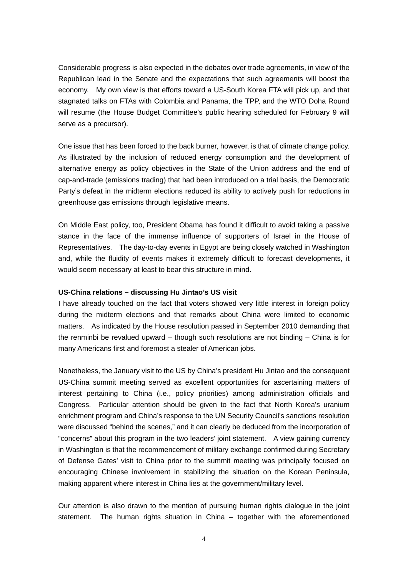Considerable progress is also expected in the debates over trade agreements, in view of the Republican lead in the Senate and the expectations that such agreements will boost the economy. My own view is that efforts toward a US-South Korea FTA will pick up, and that stagnated talks on FTAs with Colombia and Panama, the TPP, and the WTO Doha Round will resume (the House Budget Committee's public hearing scheduled for February 9 will serve as a precursor).

One issue that has been forced to the back burner, however, is that of climate change policy. As illustrated by the inclusion of reduced energy consumption and the development of alternative energy as policy objectives in the State of the Union address and the end of cap-and-trade (emissions trading) that had been introduced on a trial basis, the Democratic Party's defeat in the midterm elections reduced its ability to actively push for reductions in greenhouse gas emissions through legislative means.

On Middle East policy, too, President Obama has found it difficult to avoid taking a passive stance in the face of the immense influence of supporters of Israel in the House of Representatives. The day-to-day events in Egypt are being closely watched in Washington and, while the fluidity of events makes it extremely difficult to forecast developments, it would seem necessary at least to bear this structure in mind.

### **US-China relations – discussing Hu Jintao's US visit**

I have already touched on the fact that voters showed very little interest in foreign policy during the midterm elections and that remarks about China were limited to economic matters. As indicated by the House resolution passed in September 2010 demanding that the renminbi be revalued upward – though such resolutions are not binding – China is for many Americans first and foremost a stealer of American jobs.

Nonetheless, the January visit to the US by China's president Hu Jintao and the consequent US-China summit meeting served as excellent opportunities for ascertaining matters of interest pertaining to China (i.e., policy priorities) among administration officials and Congress. Particular attention should be given to the fact that North Korea's uranium enrichment program and China's response to the UN Security Council's sanctions resolution were discussed "behind the scenes," and it can clearly be deduced from the incorporation of "concerns" about this program in the two leaders' joint statement. A view gaining currency in Washington is that the recommencement of military exchange confirmed during Secretary of Defense Gates' visit to China prior to the summit meeting was principally focused on encouraging Chinese involvement in stabilizing the situation on the Korean Peninsula, making apparent where interest in China lies at the government/military level.

Our attention is also drawn to the mention of pursuing human rights dialogue in the joint statement. The human rights situation in China – together with the aforementioned